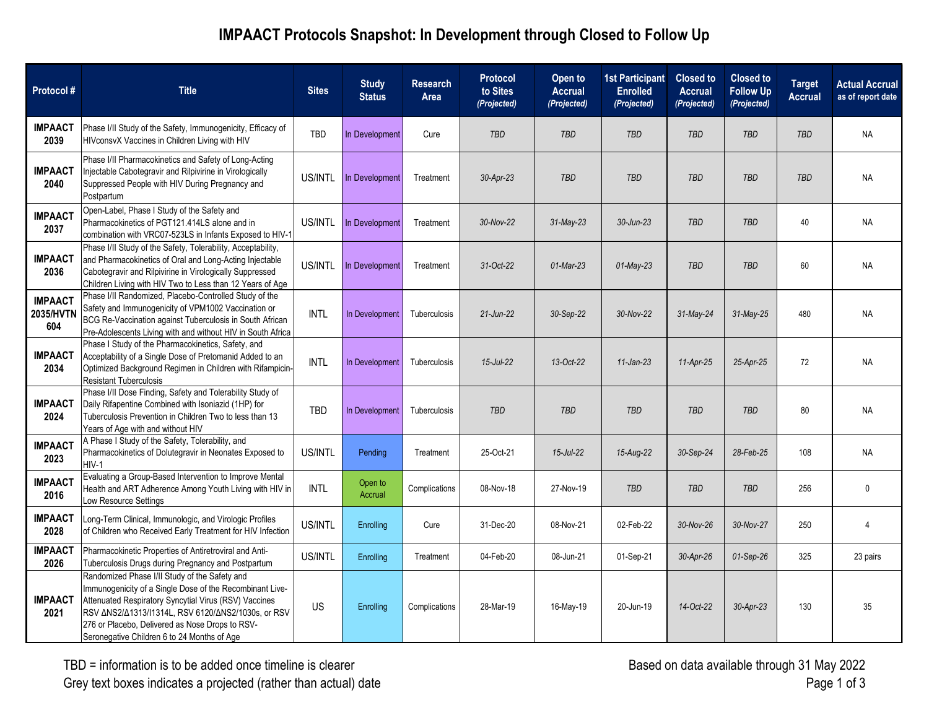## **IMPAACT Protocols Snapshot: In Development through Closed to Follow Up**

| Protocol#                          | <b>Title</b>                                                                                                                                                                                                                                                                                                                                                  | <b>Sites</b> | <b>Study</b><br><b>Status</b> | <b>Research</b><br>Area | <b>Protocol</b><br>to Sites<br>(Projected) | Open to<br><b>Accrual</b><br>(Projected) | <b>1st Participant</b><br><b>Enrolled</b><br>(Projected) | <b>Closed to</b><br><b>Accrual</b><br>(Projected) | <b>Closed to</b><br><b>Follow Up</b><br>(Projected) | <b>Target</b><br><b>Accrual</b> | <b>Actual Accrual</b><br>as of report date |
|------------------------------------|---------------------------------------------------------------------------------------------------------------------------------------------------------------------------------------------------------------------------------------------------------------------------------------------------------------------------------------------------------------|--------------|-------------------------------|-------------------------|--------------------------------------------|------------------------------------------|----------------------------------------------------------|---------------------------------------------------|-----------------------------------------------------|---------------------------------|--------------------------------------------|
| <b>IMPAACT</b><br>2039             | Phase I/II Study of the Safety, Immunogenicity, Efficacy of<br>HIVconsvX Vaccines in Children Living with HIV                                                                                                                                                                                                                                                 | <b>TBD</b>   | In Development                | Cure                    | TBD                                        | <b>TBD</b>                               | <b>TBD</b>                                               | <b>TBD</b>                                        | <b>TBD</b>                                          | <b>TBD</b>                      | <b>NA</b>                                  |
| <b>IMPAACT</b><br>2040             | Phase I/II Pharmacokinetics and Safety of Long-Acting<br>Injectable Cabotegravir and Rilpivirine in Virologically<br>Suppressed People with HIV During Pregnancy and<br>Postpartum                                                                                                                                                                            | US/INTL      | In Development                | Treatment               | 30-Apr-23                                  | TBD                                      | <b>TBD</b>                                               | <b>TBD</b>                                        | <b>TBD</b>                                          | <b>TBD</b>                      | <b>NA</b>                                  |
| <b>IMPAACT</b><br>2037             | Open-Label, Phase I Study of the Safety and<br>Pharmacokinetics of PGT121.414LS alone and in<br>combination with VRC07-523LS in Infants Exposed to HIV-1                                                                                                                                                                                                      | US/INTL      | In Development                | Treatment               | 30-Nov-22                                  | $31$ -May-23                             | 30-Jun-23                                                | <b>TBD</b>                                        | <b>TBD</b>                                          | 40                              | <b>NA</b>                                  |
| <b>IMPAACT</b><br>2036             | Phase I/II Study of the Safety, Tolerability, Acceptability,<br>and Pharmacokinetics of Oral and Long-Acting Injectable<br>Cabotegravir and Rilpivirine in Virologically Suppressed<br>Children Living with HIV Two to Less than 12 Years of Age                                                                                                              | US/INTL      | In Development                | Treatment               | 31-Oct-22                                  | $01$ -Mar-23                             | $01$ -May-23                                             | <b>TBD</b>                                        | <b>TBD</b>                                          | 60                              | <b>NA</b>                                  |
| <b>IMPAACT</b><br>2035/HVTN<br>604 | Phase I/II Randomized, Placebo-Controlled Study of the<br>Safety and Immunogenicity of VPM1002 Vaccination or<br>BCG Re-Vaccination against Tuberculosis in South African<br>Pre-Adolescents Living with and without HIV in South Africa                                                                                                                      | <b>INTL</b>  | In Development                | Tuberculosis            | $21$ -Jun-22                               | 30-Sep-22                                | 30-Nov-22                                                | 31-May-24                                         | 31-May-25                                           | 480                             | <b>NA</b>                                  |
| <b>IMPAACT</b><br>2034             | Phase I Study of the Pharmacokinetics, Safety, and<br>Acceptability of a Single Dose of Pretomanid Added to an<br>Optimized Background Regimen in Children with Rifampicin-<br><b>Resistant Tuberculosis</b>                                                                                                                                                  | <b>INTL</b>  | In Development                | Tuberculosis            | 15-Jul-22                                  | 13-Oct-22                                | $11$ -Jan-23                                             | $11-Apr-25$                                       | 25-Apr-25                                           | 72                              | <b>NA</b>                                  |
| <b>IMPAACT</b><br>2024             | Phase I/II Dose Finding, Safety and Tolerability Study of<br>Daily Rifapentine Combined with Isoniazid (1HP) for<br>Tuberculosis Prevention in Children Two to less than 13<br>Years of Age with and without HIV                                                                                                                                              | TBD          | In Development                | Tuberculosis            | <b>TBD</b>                                 | TBD                                      | <b>TBD</b>                                               | <b>TBD</b>                                        | <b>TBD</b>                                          | 80                              | <b>NA</b>                                  |
| <b>IMPAACT</b><br>2023             | A Phase I Study of the Safety, Tolerability, and<br>Pharmacokinetics of Dolutegravir in Neonates Exposed to<br>HIV-1                                                                                                                                                                                                                                          | US/INTL      | Pending                       | Treatment               | 25-Oct-21                                  | $15$ -Jul-22                             | 15-Aug-22                                                | 30-Sep-24                                         | 28-Feb-25                                           | 108                             | <b>NA</b>                                  |
| <b>IMPAACT</b><br>2016             | Evaluating a Group-Based Intervention to Improve Mental<br>Health and ART Adherence Among Youth Living with HIV in<br>Low Resource Settings                                                                                                                                                                                                                   | <b>INTL</b>  | Open to<br><b>Accrual</b>     | Complications           | 08-Nov-18                                  | 27-Nov-19                                | TBD                                                      | TBD                                               | TBD                                                 | 256                             | $\mathbf 0$                                |
| <b>IMPAACT</b><br>2028             | Long-Term Clinical, Immunologic, and Virologic Profiles<br>of Children who Received Early Treatment for HIV Infection                                                                                                                                                                                                                                         | US/INTL      | Enrolling                     | Cure                    | 31-Dec-20                                  | 08-Nov-21                                | 02-Feb-22                                                | 30-Nov-26                                         | 30-Nov-27                                           | 250                             | 4                                          |
| <b>IMPAACT</b><br>2026             | Pharmacokinetic Properties of Antiretroviral and Anti-<br>Tuberculosis Drugs during Pregnancy and Postpartum                                                                                                                                                                                                                                                  | US/INTL      | Enrolling                     | Treatment               | 04-Feb-20                                  | 08-Jun-21                                | 01-Sep-21                                                | 30-Apr-26                                         | $01-Sep-26$                                         | 325                             | 23 pairs                                   |
| <b>IMPAACT</b><br>2021             | Randomized Phase I/II Study of the Safety and<br>Immunogenicity of a Single Dose of the Recombinant Live-<br>Attenuated Respiratory Syncytial Virus (RSV) Vaccines<br>RSV $\triangle$ NS2/ $\triangle$ 1313/I1314L, RSV 6120/ $\triangle$ NS2/1030s, or RSV<br>276 or Placebo, Delivered as Nose Drops to RSV-<br>Seronegative Children 6 to 24 Months of Age | US           | Enrolling                     | Complications           | 28-Mar-19                                  | 16-May-19                                | 20-Jun-19                                                | 14-Oct-22                                         | 30-Apr-23                                           | 130                             | 35                                         |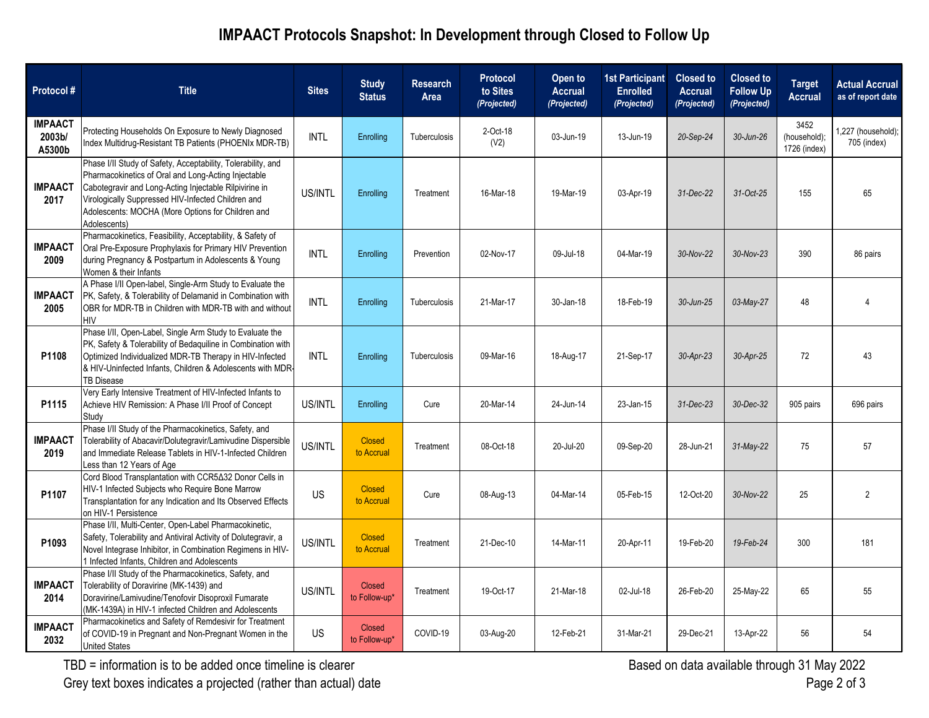## **IMPAACT Protocols Snapshot: In Development through Closed to Follow Up**

| Protocol#                          | <b>Title</b>                                                                                                                                                                                                                                                                                             | <b>Sites</b> | <b>Study</b><br><b>Status</b>  | <b>Research</b><br>Area | <b>Protocol</b><br>to Sites<br>(Projected) | Open to<br><b>Accrual</b><br>(Projected) | <b>1st Participant</b><br><b>Enrolled</b><br>(Projected) | <b>Closed to</b><br><b>Accrual</b><br>(Projected) | <b>Closed to</b><br><b>Follow Up</b><br>(Projected) | <b>Target</b><br>Accrual             | <b>Actual Accrual</b><br>as of report date |
|------------------------------------|----------------------------------------------------------------------------------------------------------------------------------------------------------------------------------------------------------------------------------------------------------------------------------------------------------|--------------|--------------------------------|-------------------------|--------------------------------------------|------------------------------------------|----------------------------------------------------------|---------------------------------------------------|-----------------------------------------------------|--------------------------------------|--------------------------------------------|
| <b>IMPAACT</b><br>2003b/<br>A5300b | Protecting Households On Exposure to Newly Diagnosed<br>Index Multidrug-Resistant TB Patients (PHOENIx MDR-TB)                                                                                                                                                                                           | <b>INTL</b>  | Enrolling                      | Tuberculosis            | 2-Oct-18<br>(V2)                           | 03-Jun-19                                | 13-Jun-19                                                | 20-Sep-24                                         | 30-Jun-26                                           | 3452<br>(household);<br>1726 (index) | 1,227 (household);<br>705 (index)          |
| <b>IMPAACT</b><br>2017             | Phase I/II Study of Safety, Acceptability, Tolerability, and<br>Pharmacokinetics of Oral and Long-Acting Injectable<br>Cabotegravir and Long-Acting Injectable Rilpivirine in<br>Virologically Suppressed HIV-Infected Children and<br>Adolescents: MOCHA (More Options for Children and<br>Adolescents) | US/INTL      | Enrolling                      | Treatment               | 16-Mar-18                                  | 19-Mar-19                                | 03-Apr-19                                                | 31-Dec-22                                         | 31-Oct-25                                           | 155                                  | 65                                         |
| <b>IMPAACT</b><br>2009             | Pharmacokinetics, Feasibility, Acceptability, & Safety of<br>Oral Pre-Exposure Prophylaxis for Primary HIV Prevention<br>during Pregnancy & Postpartum in Adolescents & Young<br>Women & their Infants                                                                                                   | <b>INTL</b>  | Enrolling                      | Prevention              | 02-Nov-17                                  | 09-Jul-18                                | 04-Mar-19                                                | 30-Nov-22                                         | 30-Nov-23                                           | 390                                  | 86 pairs                                   |
| <b>IMPAACT</b><br>2005             | A Phase I/II Open-label, Single-Arm Study to Evaluate the<br>PK, Safety, & Tolerability of Delamanid in Combination with<br>OBR for MDR-TB in Children with MDR-TB with and without<br>HIV                                                                                                               | <b>INTL</b>  | Enrolling                      | Tuberculosis            | 21-Mar-17                                  | 30-Jan-18                                | 18-Feb-19                                                | 30-Jun-25                                         | 03-May-27                                           | 48                                   | 4                                          |
| P1108                              | Phase I/II, Open-Label, Single Arm Study to Evaluate the<br>PK, Safety & Tolerability of Bedaquiline in Combination with<br>Optimized Individualized MDR-TB Therapy in HIV-Infected<br>& HIV-Uninfected Infants, Children & Adolescents with MDR-<br>TB Disease                                          | <b>INTL</b>  | Enrolling                      | Tuberculosis            | 09-Mar-16                                  | 18-Aug-17                                | 21-Sep-17                                                | 30-Apr-23                                         | 30-Apr-25                                           | 72                                   | 43                                         |
| P1115                              | Very Early Intensive Treatment of HIV-Infected Infants to<br>Achieve HIV Remission: A Phase I/II Proof of Concept<br>Study                                                                                                                                                                               | US/INTL      | Enrolling                      | Cure                    | 20-Mar-14                                  | 24-Jun-14                                | 23-Jan-15                                                | 31-Dec-23                                         | 30-Dec-32                                           | 905 pairs                            | 696 pairs                                  |
| <b>IMPAACT</b><br>2019             | Phase I/II Study of the Pharmacokinetics, Safety, and<br>Tolerability of Abacavir/Dolutegravir/Lamivudine Dispersible<br>and Immediate Release Tablets in HIV-1-Infected Children<br>Less than 12 Years of Age                                                                                           | US/INTL      | <b>Closed</b><br>to Accrual    | Treatment               | 08-Oct-18                                  | 20-Jul-20                                | 09-Sep-20                                                | 28-Jun-21                                         | $31$ -May-22                                        | 75                                   | 57                                         |
| P1107                              | Cord Blood Transplantation with CCR5∆32 Donor Cells in<br>HIV-1 Infected Subjects who Require Bone Marrow<br>Transplantation for any Indication and Its Observed Effects<br>on HIV-1 Persistence                                                                                                         | <b>US</b>    | <b>Closed</b><br>to Accrual    | Cure                    | 08-Aug-13                                  | 04-Mar-14                                | 05-Feb-15                                                | 12-Oct-20                                         | 30-Nov-22                                           | 25                                   | $\overline{2}$                             |
| P1093                              | Phase I/II, Multi-Center, Open-Label Pharmacokinetic,<br>Safety, Tolerability and Antiviral Activity of Dolutegravir, a<br>Novel Integrase Inhibitor, in Combination Regimens in HIV-<br>1 Infected Infants, Children and Adolescents                                                                    | US/INTL      | <b>Closed</b><br>to Accrual    | Treatment               | 21-Dec-10                                  | 14-Mar-11                                | 20-Apr-11                                                | 19-Feb-20                                         | 19-Feb-24                                           | 300                                  | 181                                        |
| <b>IMPAACT</b><br>2014             | Phase I/II Study of the Pharmacokinetics, Safety, and<br>Tolerability of Doravirine (MK-1439) and<br>Doravirine/Lamivudine/Tenofovir Disoproxil Fumarate<br>(MK-1439A) in HIV-1 infected Children and Adolescents                                                                                        | US/INTL      | <b>Closed</b><br>to Follow-up* | Treatment               | 19-Oct-17                                  | 21-Mar-18                                | 02-Jul-18                                                | 26-Feb-20                                         | 25-May-22                                           | 65                                   | 55                                         |
| <b>IMPAACT</b><br>2032             | Pharmacokinetics and Safety of Remdesivir for Treatment<br>of COVID-19 in Pregnant and Non-Pregnant Women in the<br>United States                                                                                                                                                                        | US           | <b>Closed</b><br>to Follow-up* | COVID-19                | 03-Aug-20                                  | 12-Feb-21                                | 31-Mar-21                                                | 29-Dec-21                                         | 13-Apr-22                                           | 56                                   | 54                                         |

TBD = information is to be added once timeline is clearer Grey text boxes indicates a projected (rather than actual) date Based on data available through 31 May 2022